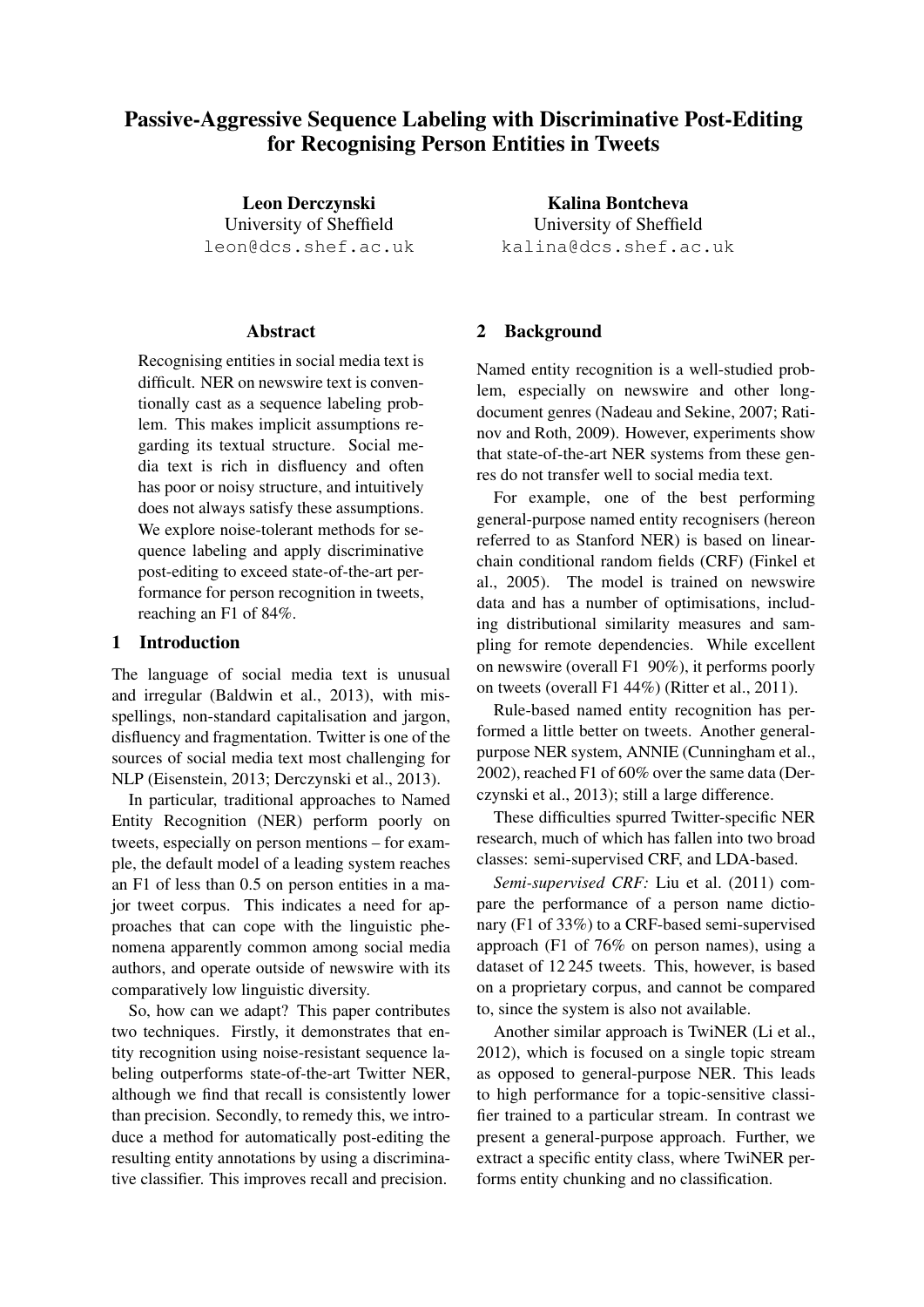# Passive-Aggressive Sequence Labeling with Discriminative Post-Editing for Recognising Person Entities in Tweets

Leon Derczynski University of Sheffield leon@dcs.shef.ac.uk

## Abstract

Recognising entities in social media text is difficult. NER on newswire text is conventionally cast as a sequence labeling problem. This makes implicit assumptions regarding its textual structure. Social media text is rich in disfluency and often has poor or noisy structure, and intuitively does not always satisfy these assumptions. We explore noise-tolerant methods for sequence labeling and apply discriminative post-editing to exceed state-of-the-art performance for person recognition in tweets, reaching an F1 of 84%.

# 1 Introduction

The language of social media text is unusual and irregular (Baldwin et al., 2013), with misspellings, non-standard capitalisation and jargon, disfluency and fragmentation. Twitter is one of the sources of social media text most challenging for NLP (Eisenstein, 2013; Derczynski et al., 2013).

In particular, traditional approaches to Named Entity Recognition (NER) perform poorly on tweets, especially on person mentions – for example, the default model of a leading system reaches an F1 of less than 0.5 on person entities in a major tweet corpus. This indicates a need for approaches that can cope with the linguistic phenomena apparently common among social media authors, and operate outside of newswire with its comparatively low linguistic diversity.

So, how can we adapt? This paper contributes two techniques. Firstly, it demonstrates that entity recognition using noise-resistant sequence labeling outperforms state-of-the-art Twitter NER, although we find that recall is consistently lower than precision. Secondly, to remedy this, we introduce a method for automatically post-editing the resulting entity annotations by using a discriminative classifier. This improves recall and precision.

Kalina Bontcheva University of Sheffield kalina@dcs.shef.ac.uk

# 2 Background

Named entity recognition is a well-studied problem, especially on newswire and other longdocument genres (Nadeau and Sekine, 2007; Ratinov and Roth, 2009). However, experiments show that state-of-the-art NER systems from these genres do not transfer well to social media text.

For example, one of the best performing general-purpose named entity recognisers (hereon referred to as Stanford NER) is based on linearchain conditional random fields (CRF) (Finkel et al., 2005). The model is trained on newswire data and has a number of optimisations, including distributional similarity measures and sampling for remote dependencies. While excellent on newswire (overall F1 90%), it performs poorly on tweets (overall F1 44%) (Ritter et al., 2011).

Rule-based named entity recognition has performed a little better on tweets. Another generalpurpose NER system, ANNIE (Cunningham et al., 2002), reached F1 of 60% over the same data (Derczynski et al., 2013); still a large difference.

These difficulties spurred Twitter-specific NER research, much of which has fallen into two broad classes: semi-supervised CRF, and LDA-based.

*Semi-supervised CRF:* Liu et al. (2011) compare the performance of a person name dictionary (F1 of 33%) to a CRF-based semi-supervised approach (F1 of 76% on person names), using a dataset of 12 245 tweets. This, however, is based on a proprietary corpus, and cannot be compared to, since the system is also not available.

Another similar approach is TwiNER (Li et al., 2012), which is focused on a single topic stream as opposed to general-purpose NER. This leads to high performance for a topic-sensitive classifier trained to a particular stream. In contrast we present a general-purpose approach. Further, we extract a specific entity class, where TwiNER performs entity chunking and no classification.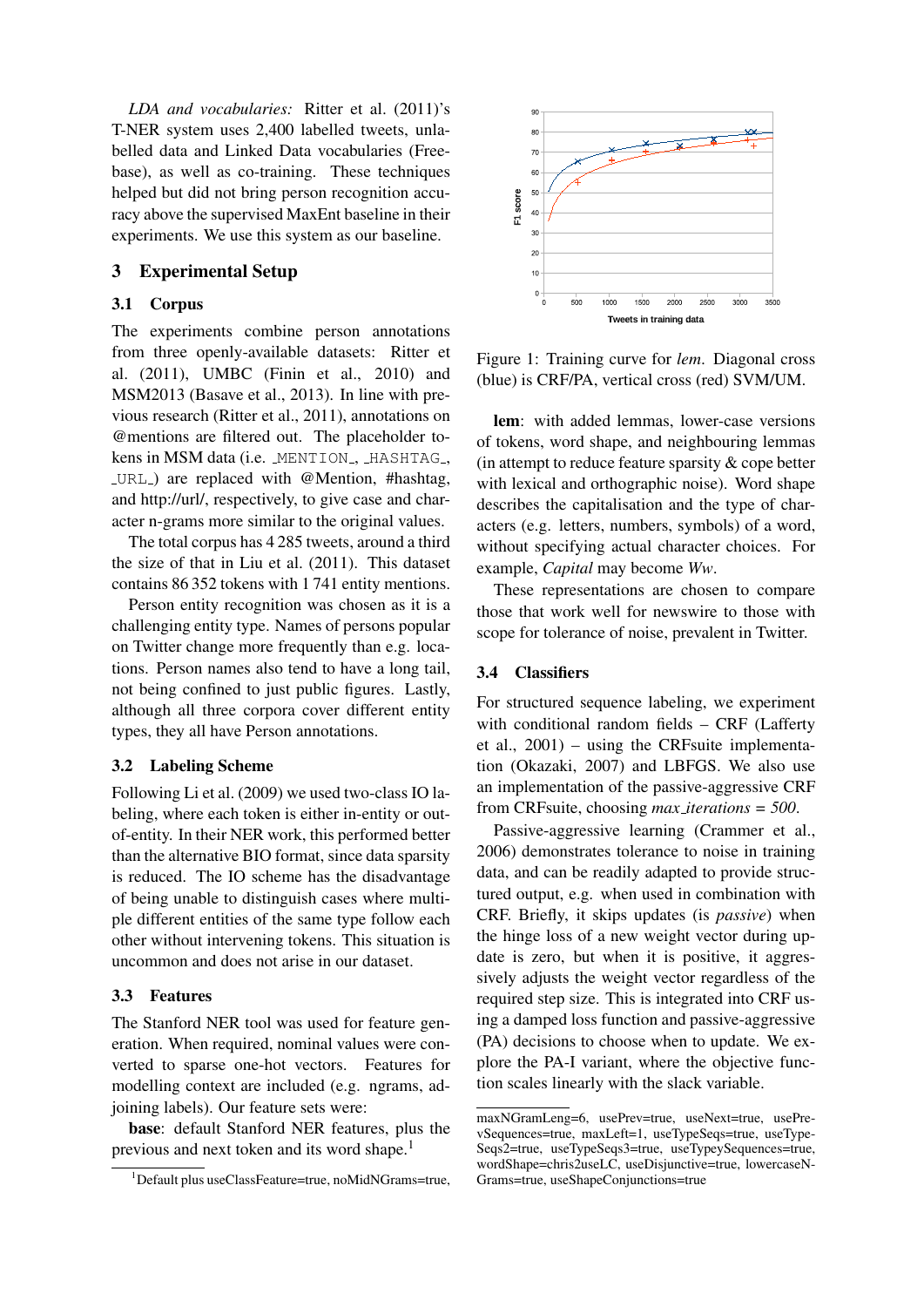*LDA and vocabularies:* Ritter et al. (2011)'s T-NER system uses 2,400 labelled tweets, unlabelled data and Linked Data vocabularies (Freebase), as well as co-training. These techniques helped but did not bring person recognition accuracy above the supervised MaxEnt baseline in their experiments. We use this system as our baseline.

# 3 Experimental Setup

#### 3.1 Corpus

The experiments combine person annotations from three openly-available datasets: Ritter et al. (2011), UMBC (Finin et al., 2010) and MSM2013 (Basave et al., 2013). In line with previous research (Ritter et al., 2011), annotations on @mentions are filtered out. The placeholder tokens in MSM data (i.e. MENTION<sub>, HASHTAG</sub>, URL ) are replaced with @Mention, #hashtag, and http://url/, respectively, to give case and character n-grams more similar to the original values.

The total corpus has 4 285 tweets, around a third the size of that in Liu et al. (2011). This dataset contains 86 352 tokens with 1 741 entity mentions.

Person entity recognition was chosen as it is a challenging entity type. Names of persons popular on Twitter change more frequently than e.g. locations. Person names also tend to have a long tail, not being confined to just public figures. Lastly, although all three corpora cover different entity types, they all have Person annotations.

#### 3.2 Labeling Scheme

Following Li et al. (2009) we used two-class IO labeling, where each token is either in-entity or outof-entity. In their NER work, this performed better than the alternative BIO format, since data sparsity is reduced. The IO scheme has the disadvantage of being unable to distinguish cases where multiple different entities of the same type follow each other without intervening tokens. This situation is uncommon and does not arise in our dataset.

#### 3.3 Features

The Stanford NER tool was used for feature generation. When required, nominal values were converted to sparse one-hot vectors. Features for modelling context are included (e.g. ngrams, adjoining labels). Our feature sets were:

base: default Stanford NER features, plus the previous and next token and its word shape.<sup>1</sup>



Figure 1: Training curve for *lem*. Diagonal cross (blue) is CRF/PA, vertical cross (red) SVM/UM.

lem: with added lemmas, lower-case versions of tokens, word shape, and neighbouring lemmas (in attempt to reduce feature sparsity  $\&$  cope better with lexical and orthographic noise). Word shape describes the capitalisation and the type of characters (e.g. letters, numbers, symbols) of a word, without specifying actual character choices. For example, *Capital* may become *Ww*.

These representations are chosen to compare those that work well for newswire to those with scope for tolerance of noise, prevalent in Twitter.

### 3.4 Classifiers

For structured sequence labeling, we experiment with conditional random fields – CRF (Lafferty et al., 2001) – using the CRFsuite implementation (Okazaki, 2007) and LBFGS. We also use an implementation of the passive-aggressive CRF from CRFsuite, choosing *max iterations = 500*.

Passive-aggressive learning (Crammer et al., 2006) demonstrates tolerance to noise in training data, and can be readily adapted to provide structured output, e.g. when used in combination with CRF. Briefly, it skips updates (is *passive*) when the hinge loss of a new weight vector during update is zero, but when it is positive, it aggressively adjusts the weight vector regardless of the required step size. This is integrated into CRF using a damped loss function and passive-aggressive (PA) decisions to choose when to update. We explore the PA-I variant, where the objective function scales linearly with the slack variable.

<sup>&</sup>lt;sup>1</sup>Default plus useClassFeature=true, noMidNGrams=true,

maxNGramLeng=6, usePrev=true, useNext=true, usePrevSequences=true, maxLeft=1, useTypeSeqs=true, useType-Seqs2=true, useTypeSeqs3=true, useTypeySequences=true, wordShape=chris2useLC, useDisjunctive=true, lowercaseN-Grams=true, useShapeConjunctions=true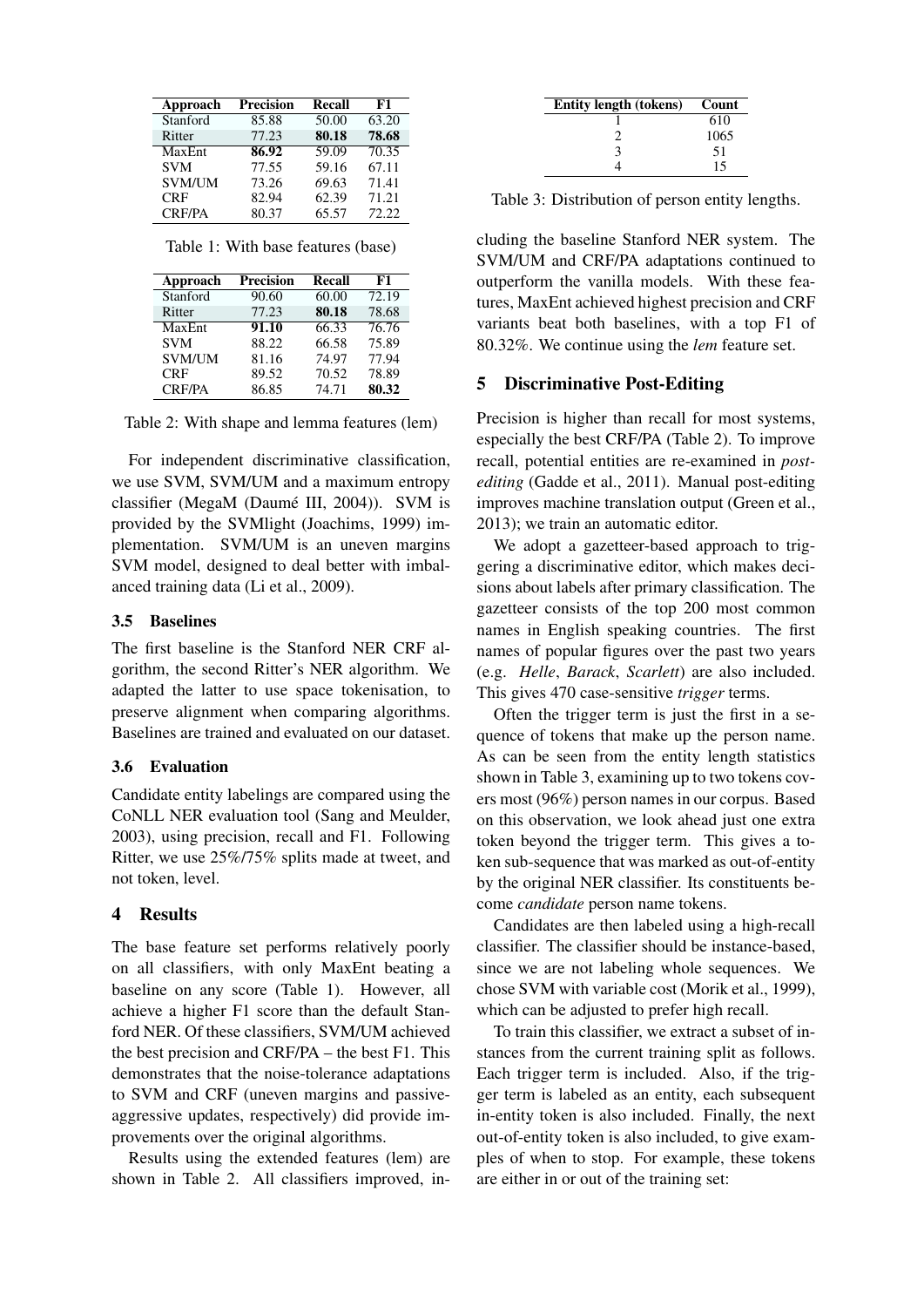| Approach      | <b>Precision</b> | Recall | F1    |
|---------------|------------------|--------|-------|
| Stanford      | 85.88            | 50.00  | 63.20 |
| Ritter        | 77.23            | 80.18  | 78.68 |
| MaxEnt        | 86.92            | 59.09  | 70.35 |
| <b>SVM</b>    | 77.55            | 59.16  | 67.11 |
| <b>SVM/UM</b> | 73.26            | 69.63  | 71.41 |
| <b>CRF</b>    | 82.94            | 62.39  | 71.21 |
| <b>CRF/PA</b> | 80.37            | 65.57  | 72.22 |

|  |  |  | Table 1: With base features (base) |  |
|--|--|--|------------------------------------|--|
|--|--|--|------------------------------------|--|

| Approach      | Precision | Recall | F1    |
|---------------|-----------|--------|-------|
| Stanford      | 90.60     | 60.00  | 72.19 |
| Ritter        | 77.23     | 80.18  | 78.68 |
| MaxEnt        | 91.10     | 66.33  | 76.76 |
| <b>SVM</b>    | 88.22     | 66.58  | 75.89 |
| <b>SVM/UM</b> | 81.16     | 74.97  | 77.94 |
| <b>CRF</b>    | 89.52     | 70.52  | 78.89 |
| <b>CRF/PA</b> | 86.85     | 74.71  | 80.32 |

Table 2: With shape and lemma features (lem)

For independent discriminative classification, we use SVM, SVM/UM and a maximum entropy classifier (MegaM (Daumé III, 2004)). SVM is provided by the SVMlight (Joachims, 1999) implementation. SVM/UM is an uneven margins SVM model, designed to deal better with imbalanced training data (Li et al., 2009).

## 3.5 Baselines

The first baseline is the Stanford NER CRF algorithm, the second Ritter's NER algorithm. We adapted the latter to use space tokenisation, to preserve alignment when comparing algorithms. Baselines are trained and evaluated on our dataset.

#### 3.6 Evaluation

Candidate entity labelings are compared using the CoNLL NER evaluation tool (Sang and Meulder, 2003), using precision, recall and F1. Following Ritter, we use 25%/75% splits made at tweet, and not token, level.

## 4 Results

The base feature set performs relatively poorly on all classifiers, with only MaxEnt beating a baseline on any score (Table 1). However, all achieve a higher F1 score than the default Stanford NER. Of these classifiers, SVM/UM achieved the best precision and CRF/PA – the best F1. This demonstrates that the noise-tolerance adaptations to SVM and CRF (uneven margins and passiveaggressive updates, respectively) did provide improvements over the original algorithms.

Results using the extended features (lem) are shown in Table 2. All classifiers improved, in-

| Entity length (tokens) | Count |
|------------------------|-------|
|                        | 610   |
|                        | 1065  |
| 3                      | 51    |
|                        | 15    |

Table 3: Distribution of person entity lengths.

cluding the baseline Stanford NER system. The SVM/UM and CRF/PA adaptations continued to outperform the vanilla models. With these features, MaxEnt achieved highest precision and CRF variants beat both baselines, with a top F1 of 80.32%. We continue using the *lem* feature set.

#### 5 Discriminative Post-Editing

Precision is higher than recall for most systems, especially the best CRF/PA (Table 2). To improve recall, potential entities are re-examined in *postediting* (Gadde et al., 2011). Manual post-editing improves machine translation output (Green et al., 2013); we train an automatic editor.

We adopt a gazetteer-based approach to triggering a discriminative editor, which makes decisions about labels after primary classification. The gazetteer consists of the top 200 most common names in English speaking countries. The first names of popular figures over the past two years (e.g. *Helle*, *Barack*, *Scarlett*) are also included. This gives 470 case-sensitive *trigger* terms.

Often the trigger term is just the first in a sequence of tokens that make up the person name. As can be seen from the entity length statistics shown in Table 3, examining up to two tokens covers most (96%) person names in our corpus. Based on this observation, we look ahead just one extra token beyond the trigger term. This gives a token sub-sequence that was marked as out-of-entity by the original NER classifier. Its constituents become *candidate* person name tokens.

Candidates are then labeled using a high-recall classifier. The classifier should be instance-based, since we are not labeling whole sequences. We chose SVM with variable cost (Morik et al., 1999), which can be adjusted to prefer high recall.

To train this classifier, we extract a subset of instances from the current training split as follows. Each trigger term is included. Also, if the trigger term is labeled as an entity, each subsequent in-entity token is also included. Finally, the next out-of-entity token is also included, to give examples of when to stop. For example, these tokens are either in or out of the training set: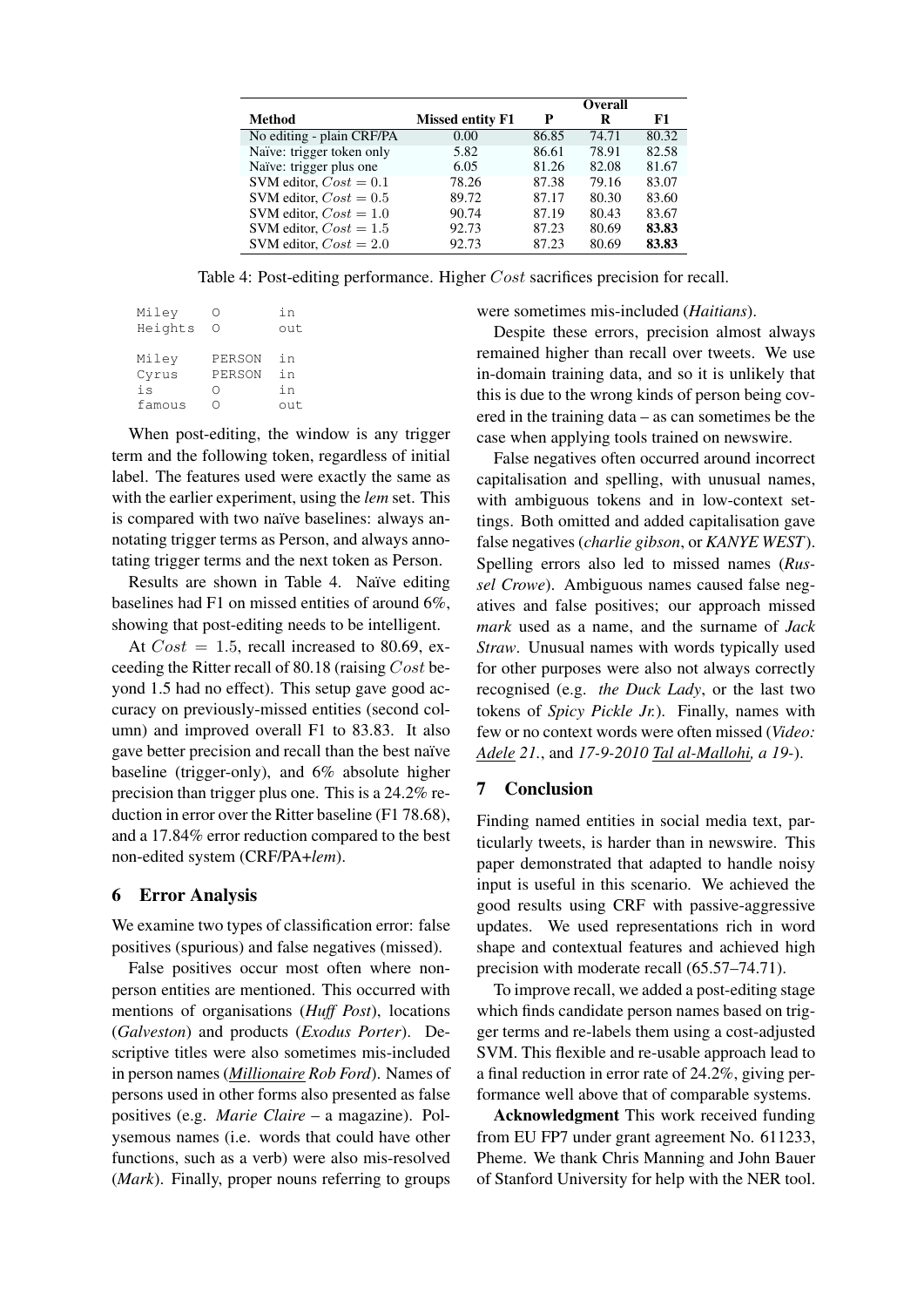|                           |                         | <b>Overall</b> |       |       |
|---------------------------|-------------------------|----------------|-------|-------|
| Method                    | <b>Missed entity F1</b> | P              | R     | F1    |
| No editing - plain CRF/PA | 0.00                    | 86.85          | 74.71 | 80.32 |
| Naïve: trigger token only | 5.82                    | 86.61          | 78.91 | 82.58 |
| Naïve: trigger plus one   | 6.05                    | 81.26          | 82.08 | 81.67 |
| SVM editor, $Cost = 0.1$  | 78.26                   | 87.38          | 79.16 | 83.07 |
| SVM editor, $Cost = 0.5$  | 89.72                   | 87.17          | 80.30 | 83.60 |
| SVM editor, $Cost = 1.0$  | 90.74                   | 87.19          | 80.43 | 83.67 |
| SVM editor, $Cost = 1.5$  | 92.73                   | 87.23          | 80.69 | 83.83 |
| SVM editor, $Cost = 2.0$  | 92.73                   | 87.23          | 80.69 | 83.83 |

Table 4: Post-editing performance. Higher Cost sacrifices precision for recall.

| Miley   |        | in  |
|---------|--------|-----|
| Heights | ( )    | out |
|         |        |     |
| Miley   | PERSON | i n |
| Cyrus   | PERSON | in  |
| is      | ∵)     | in  |
| famous  |        | out |
|         |        |     |

When post-editing, the window is any trigger term and the following token, regardless of initial label. The features used were exactly the same as with the earlier experiment, using the *lem* set. This is compared with two naïve baselines: always annotating trigger terms as Person, and always annotating trigger terms and the next token as Person.

Results are shown in Table 4. Naïve editing baselines had F1 on missed entities of around 6%, showing that post-editing needs to be intelligent.

At  $Cost = 1.5$ , recall increased to 80.69, exceeding the Ritter recall of 80.18 (raising Cost beyond 1.5 had no effect). This setup gave good accuracy on previously-missed entities (second column) and improved overall F1 to 83.83. It also gave better precision and recall than the best naïve baseline (trigger-only), and 6% absolute higher precision than trigger plus one. This is a 24.2% reduction in error over the Ritter baseline (F1 78.68), and a 17.84% error reduction compared to the best non-edited system (CRF/PA+*lem*).

# 6 Error Analysis

We examine two types of classification error: false positives (spurious) and false negatives (missed).

False positives occur most often where nonperson entities are mentioned. This occurred with mentions of organisations (*Huff Post*), locations (*Galveston*) and products (*Exodus Porter*). Descriptive titles were also sometimes mis-included in person names (*Millionaire Rob Ford*). Names of persons used in other forms also presented as false positives (e.g. *Marie Claire* – a magazine). Polysemous names (i.e. words that could have other functions, such as a verb) were also mis-resolved (*Mark*). Finally, proper nouns referring to groups were sometimes mis-included (*Haitians*).

Despite these errors, precision almost always remained higher than recall over tweets. We use in-domain training data, and so it is unlikely that this is due to the wrong kinds of person being covered in the training data – as can sometimes be the case when applying tools trained on newswire.

False negatives often occurred around incorrect capitalisation and spelling, with unusual names, with ambiguous tokens and in low-context settings. Both omitted and added capitalisation gave false negatives (*charlie gibson*, or *KANYE WEST*). Spelling errors also led to missed names (*Russel Crowe*). Ambiguous names caused false negatives and false positives; our approach missed *mark* used as a name, and the surname of *Jack Straw*. Unusual names with words typically used for other purposes were also not always correctly recognised (e.g. *the Duck Lady*, or the last two tokens of *Spicy Pickle Jr.*). Finally, names with few or no context words were often missed (*Video: Adele 21.*, and *17-9-2010 Tal al-Mallohi, a 19-*).

## 7 Conclusion

Finding named entities in social media text, particularly tweets, is harder than in newswire. This paper demonstrated that adapted to handle noisy input is useful in this scenario. We achieved the good results using CRF with passive-aggressive updates. We used representations rich in word shape and contextual features and achieved high precision with moderate recall (65.57–74.71).

To improve recall, we added a post-editing stage which finds candidate person names based on trigger terms and re-labels them using a cost-adjusted SVM. This flexible and re-usable approach lead to a final reduction in error rate of 24.2%, giving performance well above that of comparable systems.

Acknowledgment This work received funding from EU FP7 under grant agreement No. 611233, Pheme. We thank Chris Manning and John Bauer of Stanford University for help with the NER tool.